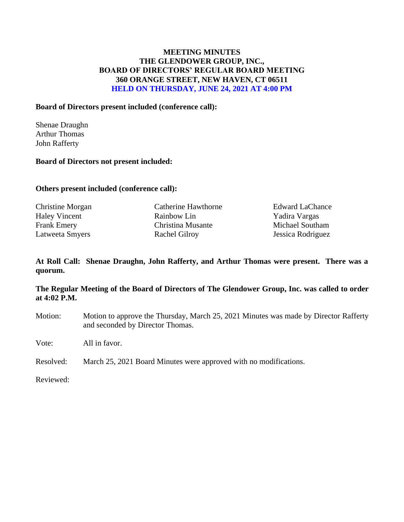## **MEETING MINUTES THE GLENDOWER GROUP, INC., BOARD OF DIRECTORS' REGULAR BOARD MEETING 360 ORANGE STREET, NEW HAVEN, CT 06511 HELD ON THURSDAY, JUNE 24, 2021 AT 4:00 PM**

### **Board of Directors present included (conference call):**

Shenae Draughn Arthur Thomas John Rafferty

#### **Board of Directors not present included:**

#### **Others present included (conference call):**

| <b>Christine Morgan</b> | Catherine Hawthorne  | <b>Edward LaChance</b> |
|-------------------------|----------------------|------------------------|
| <b>Haley Vincent</b>    | Rainbow Lin          | Yadira Vargas          |
| Frank Emery             | Christina Musante    | Michael Southam        |
| Latweeta Smyers         | <b>Rachel Gilroy</b> | Jessica Rodriguez      |

### **At Roll Call: Shenae Draughn, John Rafferty, and Arthur Thomas were present. There was a quorum.**

### **The Regular Meeting of the Board of Directors of The Glendower Group, Inc. was called to order at 4:02 P.M.**

- Motion: Motion to approve the Thursday, March 25, 2021 Minutes was made by Director Rafferty and seconded by Director Thomas.
- Vote: All in favor.

Resolved: March 25, 2021 Board Minutes were approved with no modifications.

Reviewed: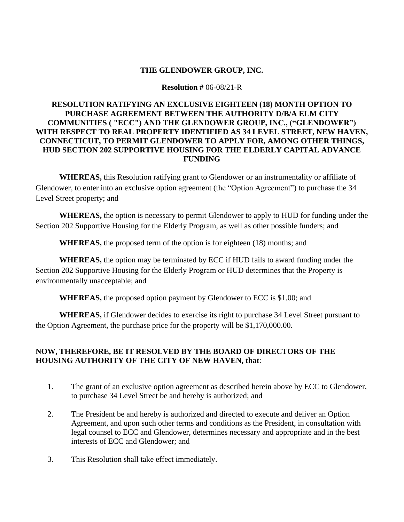#### **Resolution #** 06-08/21-R

## **RESOLUTION RATIFYING AN EXCLUSIVE EIGHTEEN (18) MONTH OPTION TO PURCHASE AGREEMENT BETWEEN THE AUTHORITY D/B/A ELM CITY COMMUNITIES ( "ECC") AND THE GLENDOWER GROUP, INC., ("GLENDOWER") WITH RESPECT TO REAL PROPERTY IDENTIFIED AS 34 LEVEL STREET, NEW HAVEN, CONNECTICUT, TO PERMIT GLENDOWER TO APPLY FOR, AMONG OTHER THINGS, HUD SECTION 202 SUPPORTIVE HOUSING FOR THE ELDERLY CAPITAL ADVANCE FUNDING**

**WHEREAS,** this Resolution ratifying grant to Glendower or an instrumentality or affiliate of Glendower, to enter into an exclusive option agreement (the "Option Agreement") to purchase the 34 Level Street property; and

**WHEREAS,** the option is necessary to permit Glendower to apply to HUD for funding under the Section 202 Supportive Housing for the Elderly Program, as well as other possible funders; and

**WHEREAS,** the proposed term of the option is for eighteen (18) months; and

**WHEREAS,** the option may be terminated by ECC if HUD fails to award funding under the Section 202 Supportive Housing for the Elderly Program or HUD determines that the Property is environmentally unacceptable; and

**WHEREAS,** the proposed option payment by Glendower to ECC is \$1.00; and

**WHEREAS,** if Glendower decides to exercise its right to purchase 34 Level Street pursuant to the Option Agreement, the purchase price for the property will be \$1,170,000.00.

# **NOW, THEREFORE, BE IT RESOLVED BY THE BOARD OF DIRECTORS OF THE HOUSING AUTHORITY OF THE CITY OF NEW HAVEN, that**:

- 1. The grant of an exclusive option agreement as described herein above by ECC to Glendower, to purchase 34 Level Street be and hereby is authorized; and
- 2. The President be and hereby is authorized and directed to execute and deliver an Option Agreement, and upon such other terms and conditions as the President, in consultation with legal counsel to ECC and Glendower, determines necessary and appropriate and in the best interests of ECC and Glendower; and
- 3. This Resolution shall take effect immediately.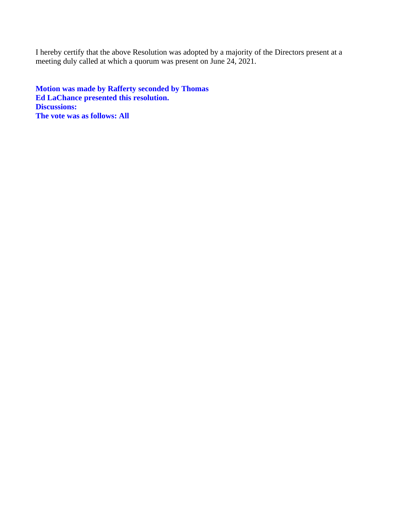I hereby certify that the above Resolution was adopted by a majority of the Directors present at a meeting duly called at which a quorum was present on June 24, 2021.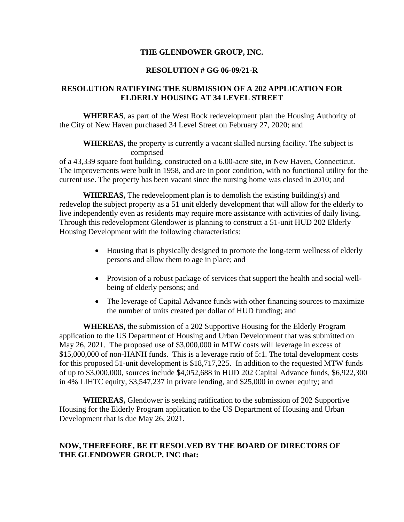#### **RESOLUTION # GG 06-09/21-R**

### **RESOLUTION RATIFYING THE SUBMISSION OF A 202 APPLICATION FOR ELDERLY HOUSING AT 34 LEVEL STREET**

**WHEREAS**, as part of the West Rock redevelopment plan the Housing Authority of the City of New Haven purchased 34 Level Street on February 27, 2020; and

**WHEREAS,** the property is currently a vacant skilled nursing facility. The subject is comprised

of a 43,339 square foot building, constructed on a 6.00-acre site, in New Haven, Connecticut. The improvements were built in 1958, and are in poor condition, with no functional utility for the current use. The property has been vacant since the nursing home was closed in 2010; and

**WHEREAS,** The redevelopment plan is to demolish the existing building(s) and redevelop the subject property as a 51 unit elderly development that will allow for the elderly to live independently even as residents may require more assistance with activities of daily living. Through this redevelopment Glendower is planning to construct a 51-unit HUD 202 Elderly Housing Development with the following characteristics:

- Housing that is physically designed to promote the long-term wellness of elderly persons and allow them to age in place; and
- Provision of a robust package of services that support the health and social wellbeing of elderly persons; and
- The leverage of Capital Advance funds with other financing sources to maximize the number of units created per dollar of HUD funding; and

**WHEREAS,** the submission of a 202 Supportive Housing for the Elderly Program application to the US Department of Housing and Urban Development that was submitted on May 26, 2021. The proposed use of \$3,000,000 in MTW costs will leverage in excess of \$15,000,000 of non-HANH funds. This is a leverage ratio of 5:1. The total development costs for this proposed 51-unit development is \$18,717,225. In addition to the requested MTW funds of up to \$3,000,000, sources include \$4,052,688 in HUD 202 Capital Advance funds, \$6,922,300 in 4% LIHTC equity, \$3,547,237 in private lending, and \$25,000 in owner equity; and

**WHEREAS,** Glendower is seeking ratification to the submission of 202 Supportive Housing for the Elderly Program application to the US Department of Housing and Urban Development that is due May 26, 2021.

## **NOW, THEREFORE, BE IT RESOLVED BY THE BOARD OF DIRECTORS OF THE GLENDOWER GROUP, INC that:**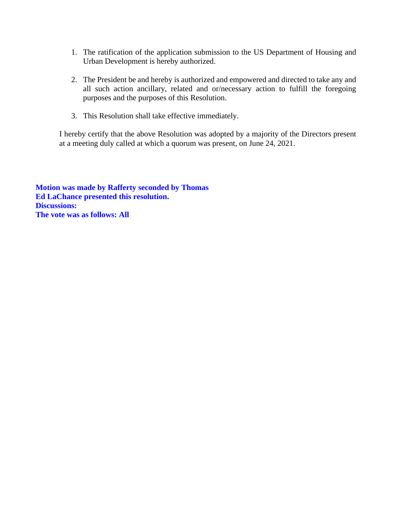- 1. The ratification of the application submission to the US Department of Housing and Urban Development is hereby authorized.
- 2. The President be and hereby is authorized and empowered and directed to take any and all such action ancillary, related and or/necessary action to fulfill the foregoing purposes and the purposes of this Resolution.
- 3. This Resolution shall take effective immediately.

I hereby certify that the above Resolution was adopted by a majority of the Directors present at a meeting duly called at which a quorum was present, on June 24, 2021.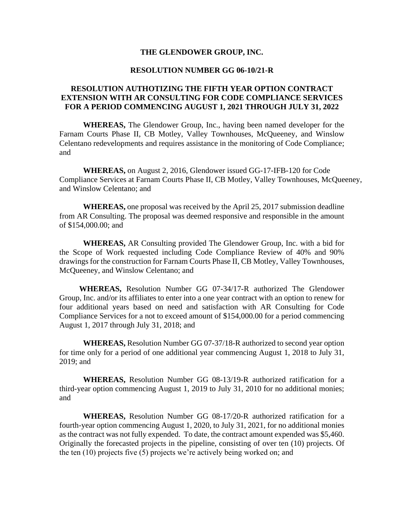#### **RESOLUTION NUMBER GG 06-10/21-R**

### **RESOLUTION AUTHOTIZING THE FIFTH YEAR OPTION CONTRACT EXTENSION WITH AR CONSULTING FOR CODE COMPLIANCE SERVICES FOR A PERIOD COMMENCING AUGUST 1, 2021 THROUGH JULY 31, 2022**

**WHEREAS,** The Glendower Group, Inc., having been named developer for the Farnam Courts Phase II, CB Motley, Valley Townhouses, McQueeney, and Winslow Celentano redevelopments and requires assistance in the monitoring of Code Compliance; and

**WHEREAS,** on August 2, 2016, Glendower issued GG-17-IFB-120 for Code Compliance Services at Farnam Courts Phase II, CB Motley, Valley Townhouses, McQueeney, and Winslow Celentano; and

**WHEREAS,** one proposal was received by the April 25, 2017 submission deadline from AR Consulting. The proposal was deemed responsive and responsible in the amount of \$154,000.00; and

**WHEREAS,** AR Consulting provided The Glendower Group, Inc. with a bid for the Scope of Work requested including Code Compliance Review of 40% and 90% drawings for the construction for Farnam Courts Phase II, CB Motley, Valley Townhouses, McQueeney, and Winslow Celentano; and

 **WHEREAS,** Resolution Number GG 07-34/17-R authorized The Glendower Group, Inc. and/or its affiliates to enter into a one year contract with an option to renew for four additional years based on need and satisfaction with AR Consulting for Code Compliance Services for a not to exceed amount of \$154,000.00 for a period commencing August 1, 2017 through July 31, 2018; and

**WHEREAS,** Resolution Number GG 07-37/18-R authorized to second year option for time only for a period of one additional year commencing August 1, 2018 to July 31, 2019; and

**WHEREAS,** Resolution Number GG 08-13/19-R authorized ratification for a third-year option commencing August 1, 2019 to July 31, 2010 for no additional monies; and

**WHEREAS,** Resolution Number GG 08-17/20-R authorized ratification for a fourth-year option commencing August 1, 2020, to July 31, 2021, for no additional monies as the contract was not fully expended. To date, the contract amount expended was \$5,460. Originally the forecasted projects in the pipeline, consisting of over ten (10) projects. Of the ten (10) projects five (5) projects we're actively being worked on; and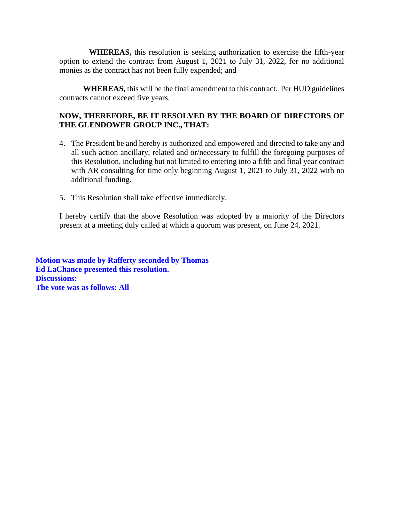**WHEREAS,** this resolution is seeking authorization to exercise the fifth-year option to extend the contract from August 1, 2021 to July 31, 2022, for no additional monies as the contract has not been fully expended; and

**WHEREAS,** this will be the final amendment to this contract. Per HUD guidelines contracts cannot exceed five years.

## **NOW, THEREFORE, BE IT RESOLVED BY THE BOARD OF DIRECTORS OF THE GLENDOWER GROUP INC., THAT:**

- 4. The President be and hereby is authorized and empowered and directed to take any and all such action ancillary, related and or/necessary to fulfill the foregoing purposes of this Resolution, including but not limited to entering into a fifth and final year contract with AR consulting for time only beginning August 1, 2021 to July 31, 2022 with no additional funding.
- 5. This Resolution shall take effective immediately.

I hereby certify that the above Resolution was adopted by a majority of the Directors present at a meeting duly called at which a quorum was present, on June 24, 2021.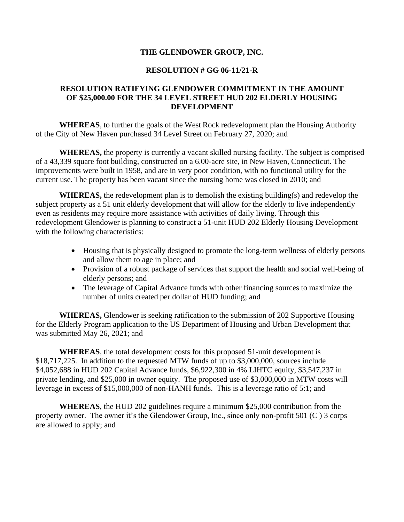#### **RESOLUTION # GG 06-11/21-R**

#### **RESOLUTION RATIFYING GLENDOWER COMMITMENT IN THE AMOUNT OF \$25,000.00 FOR THE 34 LEVEL STREET HUD 202 ELDERLY HOUSING DEVELOPMENT**

**WHEREAS**, to further the goals of the West Rock redevelopment plan the Housing Authority of the City of New Haven purchased 34 Level Street on February 27, 2020; and

**WHEREAS,** the property is currently a vacant skilled nursing facility. The subject is comprised of a 43,339 square foot building, constructed on a 6.00-acre site, in New Haven, Connecticut. The improvements were built in 1958, and are in very poor condition, with no functional utility for the current use. The property has been vacant since the nursing home was closed in 2010; and

**WHEREAS,** the redevelopment plan is to demolish the existing building(s) and redevelop the subject property as a 51 unit elderly development that will allow for the elderly to live independently even as residents may require more assistance with activities of daily living. Through this redevelopment Glendower is planning to construct a 51-unit HUD 202 Elderly Housing Development with the following characteristics:

- Housing that is physically designed to promote the long-term wellness of elderly persons and allow them to age in place; and
- Provision of a robust package of services that support the health and social well-being of elderly persons; and
- The leverage of Capital Advance funds with other financing sources to maximize the number of units created per dollar of HUD funding; and

**WHEREAS,** Glendower is seeking ratification to the submission of 202 Supportive Housing for the Elderly Program application to the US Department of Housing and Urban Development that was submitted May 26, 2021; and

**WHEREAS**, the total development costs for this proposed 51-unit development is \$18,717,225. In addition to the requested MTW funds of up to \$3,000,000, sources include \$4,052,688 in HUD 202 Capital Advance funds, \$6,922,300 in 4% LIHTC equity, \$3,547,237 in private lending, and \$25,000 in owner equity. The proposed use of \$3,000,000 in MTW costs will leverage in excess of \$15,000,000 of non-HANH funds. This is a leverage ratio of 5:1; and

**WHEREAS**, the HUD 202 guidelines require a minimum \$25,000 contribution from the property owner. The owner it's the Glendower Group, Inc., since only non-profit 501 (C ) 3 corps are allowed to apply; and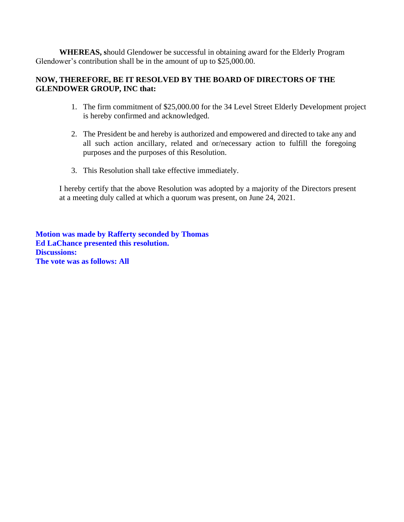**WHEREAS, s**hould Glendower be successful in obtaining award for the Elderly Program Glendower's contribution shall be in the amount of up to \$25,000.00.

### **NOW, THEREFORE, BE IT RESOLVED BY THE BOARD OF DIRECTORS OF THE GLENDOWER GROUP, INC that:**

- 1. The firm commitment of \$25,000.00 for the 34 Level Street Elderly Development project is hereby confirmed and acknowledged.
- 2. The President be and hereby is authorized and empowered and directed to take any and all such action ancillary, related and or/necessary action to fulfill the foregoing purposes and the purposes of this Resolution.
- 3. This Resolution shall take effective immediately.

I hereby certify that the above Resolution was adopted by a majority of the Directors present at a meeting duly called at which a quorum was present, on June 24, 2021.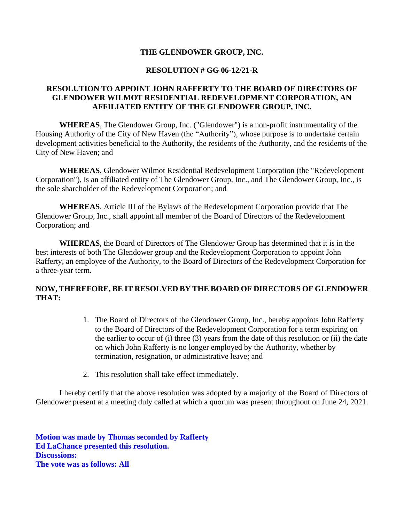#### **RESOLUTION # GG 06-12/21-R**

### **RESOLUTION TO APPOINT JOHN RAFFERTY TO THE BOARD OF DIRECTORS OF GLENDOWER WILMOT RESIDENTIAL REDEVELOPMENT CORPORATION, AN AFFILIATED ENTITY OF THE GLENDOWER GROUP, INC.**

**WHEREAS**, The Glendower Group, Inc. ("Glendower") is a non-profit instrumentality of the Housing Authority of the City of New Haven (the "Authority"), whose purpose is to undertake certain development activities beneficial to the Authority, the residents of the Authority, and the residents of the City of New Haven; and

**WHEREAS**, Glendower Wilmot Residential Redevelopment Corporation (the "Redevelopment Corporation"), is an affiliated entity of The Glendower Group, Inc., and The Glendower Group, Inc., is the sole shareholder of the Redevelopment Corporation; and

**WHEREAS**, Article III of the Bylaws of the Redevelopment Corporation provide that The Glendower Group, Inc., shall appoint all member of the Board of Directors of the Redevelopment Corporation; and

**WHEREAS**, the Board of Directors of The Glendower Group has determined that it is in the best interests of both The Glendower group and the Redevelopment Corporation to appoint John Rafferty, an employee of the Authority, to the Board of Directors of the Redevelopment Corporation for a three-year term.

## **NOW, THEREFORE, BE IT RESOLVED BY THE BOARD OF DIRECTORS OF GLENDOWER THAT:**

- 1. The Board of Directors of the Glendower Group, Inc., hereby appoints John Rafferty to the Board of Directors of the Redevelopment Corporation for a term expiring on the earlier to occur of (i) three (3) years from the date of this resolution or (ii) the date on which John Rafferty is no longer employed by the Authority, whether by termination, resignation, or administrative leave; and
- 2. This resolution shall take effect immediately.

I hereby certify that the above resolution was adopted by a majority of the Board of Directors of Glendower present at a meeting duly called at which a quorum was present throughout on June 24, 2021.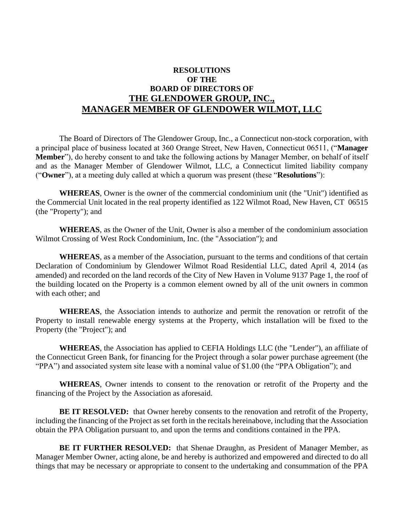# **RESOLUTIONS OF THE BOARD OF DIRECTORS OF THE GLENDOWER GROUP, INC., MANAGER MEMBER OF GLENDOWER WILMOT, LLC**

The Board of Directors of The Glendower Group, Inc., a Connecticut non-stock corporation, with a principal place of business located at 360 Orange Street, New Haven, Connecticut 06511, ("**Manager Member**"), do hereby consent to and take the following actions by Manager Member, on behalf of itself and as the Manager Member of Glendower Wilmot, LLC, a Connecticut limited liability company ("**Owner**"), at a meeting duly called at which a quorum was present (these "**Resolutions**"):

**WHEREAS**, Owner is the owner of the commercial condominium unit (the "Unit") identified as the Commercial Unit located in the real property identified as 122 Wilmot Road, New Haven, CT 06515 (the "Property"); and

**WHEREAS**, as the Owner of the Unit, Owner is also a member of the condominium association Wilmot Crossing of West Rock Condominium, Inc. (the "Association"); and

**WHEREAS**, as a member of the Association, pursuant to the terms and conditions of that certain Declaration of Condominium by Glendower Wilmot Road Residential LLC, dated April 4, 2014 (as amended) and recorded on the land records of the City of New Haven in Volume 9137 Page 1, the roof of the building located on the Property is a common element owned by all of the unit owners in common with each other; and

**WHEREAS**, the Association intends to authorize and permit the renovation or retrofit of the Property to install renewable energy systems at the Property, which installation will be fixed to the Property (the "Project"); and

**WHEREAS**, the Association has applied to CEFIA Holdings LLC (the "Lender"), an affiliate of the Connecticut Green Bank, for financing for the Project through a solar power purchase agreement (the "PPA") and associated system site lease with a nominal value of \$1.00 (the "PPA Obligation"); and

**WHEREAS**, Owner intends to consent to the renovation or retrofit of the Property and the financing of the Project by the Association as aforesaid.

**BE IT RESOLVED:** that Owner hereby consents to the renovation and retrofit of the Property, including the financing of the Project as set forth in the recitals hereinabove, including that the Association obtain the PPA Obligation pursuant to, and upon the terms and conditions contained in the PPA.

**BE IT FURTHER RESOLVED:** that Shenae Draughn, as President of Manager Member, as Manager Member Owner, acting alone, be and hereby is authorized and empowered and directed to do all things that may be necessary or appropriate to consent to the undertaking and consummation of the PPA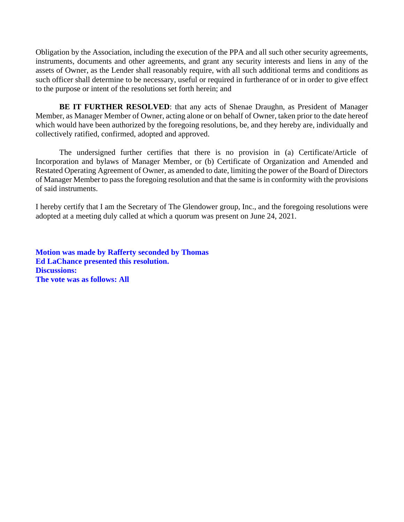Obligation by the Association, including the execution of the PPA and all such other security agreements, instruments, documents and other agreements, and grant any security interests and liens in any of the assets of Owner, as the Lender shall reasonably require, with all such additional terms and conditions as such officer shall determine to be necessary, useful or required in furtherance of or in order to give effect to the purpose or intent of the resolutions set forth herein; and

**BE IT FURTHER RESOLVED:** that any acts of Shenae Draughn, as President of Manager Member, as Manager Member of Owner, acting alone or on behalf of Owner, taken prior to the date hereof which would have been authorized by the foregoing resolutions, be, and they hereby are, individually and collectively ratified, confirmed, adopted and approved.

The undersigned further certifies that there is no provision in (a) Certificate/Article of Incorporation and bylaws of Manager Member, or (b) Certificate of Organization and Amended and Restated Operating Agreement of Owner, as amended to date, limiting the power of the Board of Directors of Manager Member to pass the foregoing resolution and that the same is in conformity with the provisions of said instruments.

I hereby certify that I am the Secretary of The Glendower group, Inc., and the foregoing resolutions were adopted at a meeting duly called at which a quorum was present on June 24, 2021.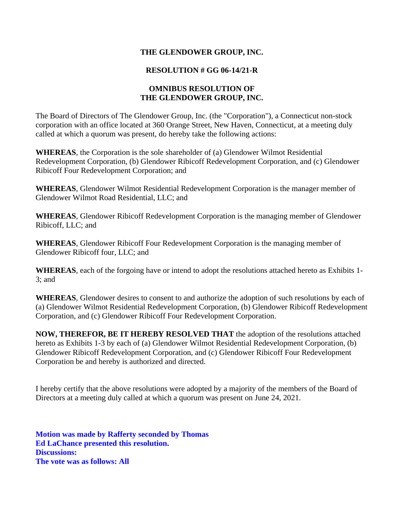### **RESOLUTION # GG 06-14/21-R**

### **OMNIBUS RESOLUTION OF THE GLENDOWER GROUP, INC.**

The Board of Directors of The Glendower Group, Inc. (the "Corporation"), a Connecticut non-stock corporation with an office located at 360 Orange Street, New Haven, Connecticut, at a meeting duly called at which a quorum was present, do hereby take the following actions:

**WHEREAS**, the Corporation is the sole shareholder of (a) Glendower Wilmot Residential Redevelopment Corporation, (b) Glendower Ribicoff Redevelopment Corporation, and (c) Glendower Ribicoff Four Redevelopment Corporation; and

**WHEREAS**, Glendower Wilmot Residential Redevelopment Corporation is the manager member of Glendower Wilmot Road Residential, LLC; and

**WHEREAS**, Glendower Ribicoff Redevelopment Corporation is the managing member of Glendower Ribicoff, LLC; and

**WHEREAS**, Glendower Ribicoff Four Redevelopment Corporation is the managing member of Glendower Ribicoff four, LLC; and

**WHEREAS**, each of the forgoing have or intend to adopt the resolutions attached hereto as Exhibits 1- 3; and

**WHEREAS**, Glendower desires to consent to and authorize the adoption of such resolutions by each of (a) Glendower Wilmot Residential Redevelopment Corporation, (b) Glendower Ribicoff Redevelopment Corporation, and (c) Glendower Ribicoff Four Redevelopment Corporation.

**NOW, THEREFOR, BE IT HEREBY RESOLVED THAT** the adoption of the resolutions attached hereto as Exhibits 1-3 by each of (a) Glendower Wilmot Residential Redevelopment Corporation, (b) Glendower Ribicoff Redevelopment Corporation, and (c) Glendower Ribicoff Four Redevelopment Corporation be and hereby is authorized and directed.

I hereby certify that the above resolutions were adopted by a majority of the members of the Board of Directors at a meeting duly called at which a quorum was present on June 24, 2021.